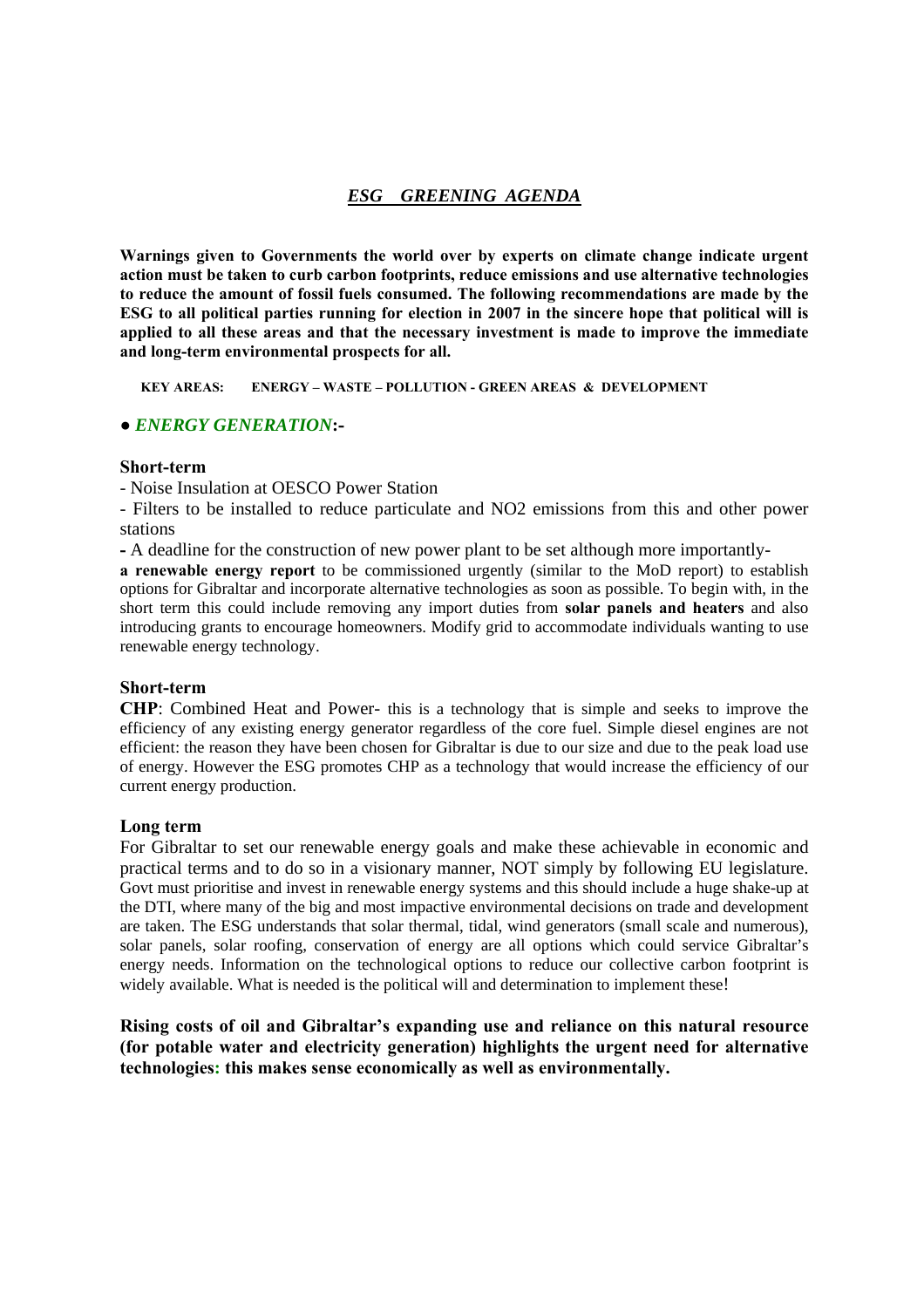# *ESG GREENING AGENDA*

**Warnings given to Governments the world over by experts on climate change indicate urgent action must be taken to curb carbon footprints, reduce emissions and use alternative technologies to reduce the amount of fossil fuels consumed. The following recommendations are made by the ESG to all political parties running for election in 2007 in the sincere hope that political will is applied to all these areas and that the necessary investment is made to improve the immediate and long-term environmental prospects for all.** 

 **KEY AREAS: ENERGY – WASTE – POLLUTION - GREEN AREAS & DEVELOPMENT**

### **●** *ENERGY GENERATION***:-**

### **Short-term**

- Noise Insulation at OESCO Power Station

- Filters to be installed to reduce particulate and NO2 emissions from this and other power stations

**-** A deadline for the construction of new power plant to be set although more importantly-

**a renewable energy report** to be commissioned urgently (similar to the MoD report) to establish options for Gibraltar and incorporate alternative technologies as soon as possible. To begin with, in the short term this could include removing any import duties from **solar panels and heaters** and also introducing grants to encourage homeowners. Modify grid to accommodate individuals wanting to use renewable energy technology.

#### **Short-term**

**CHP**: Combined Heat and Power- this is a technology that is simple and seeks to improve the efficiency of any existing energy generator regardless of the core fuel. Simple diesel engines are not efficient: the reason they have been chosen for Gibraltar is due to our size and due to the peak load use of energy. However the ESG promotes CHP as a technology that would increase the efficiency of our current energy production.

### **Long term**

For Gibraltar to set our renewable energy goals and make these achievable in economic and practical terms and to do so in a visionary manner, NOT simply by following EU legislature. Govt must prioritise and invest in renewable energy systems and this should include a huge shake-up at the DTI, where many of the big and most impactive environmental decisions on trade and development are taken. The ESG understands that solar thermal, tidal, wind generators (small scale and numerous), solar panels, solar roofing, conservation of energy are all options which could service Gibraltar's energy needs. Information on the technological options to reduce our collective carbon footprint is widely available. What is needed is the political will and determination to implement these!

**Rising costs of oil and Gibraltar's expanding use and reliance on this natural resource (for potable water and electricity generation) highlights the urgent need for alternative technologies: this makes sense economically as well as environmentally.**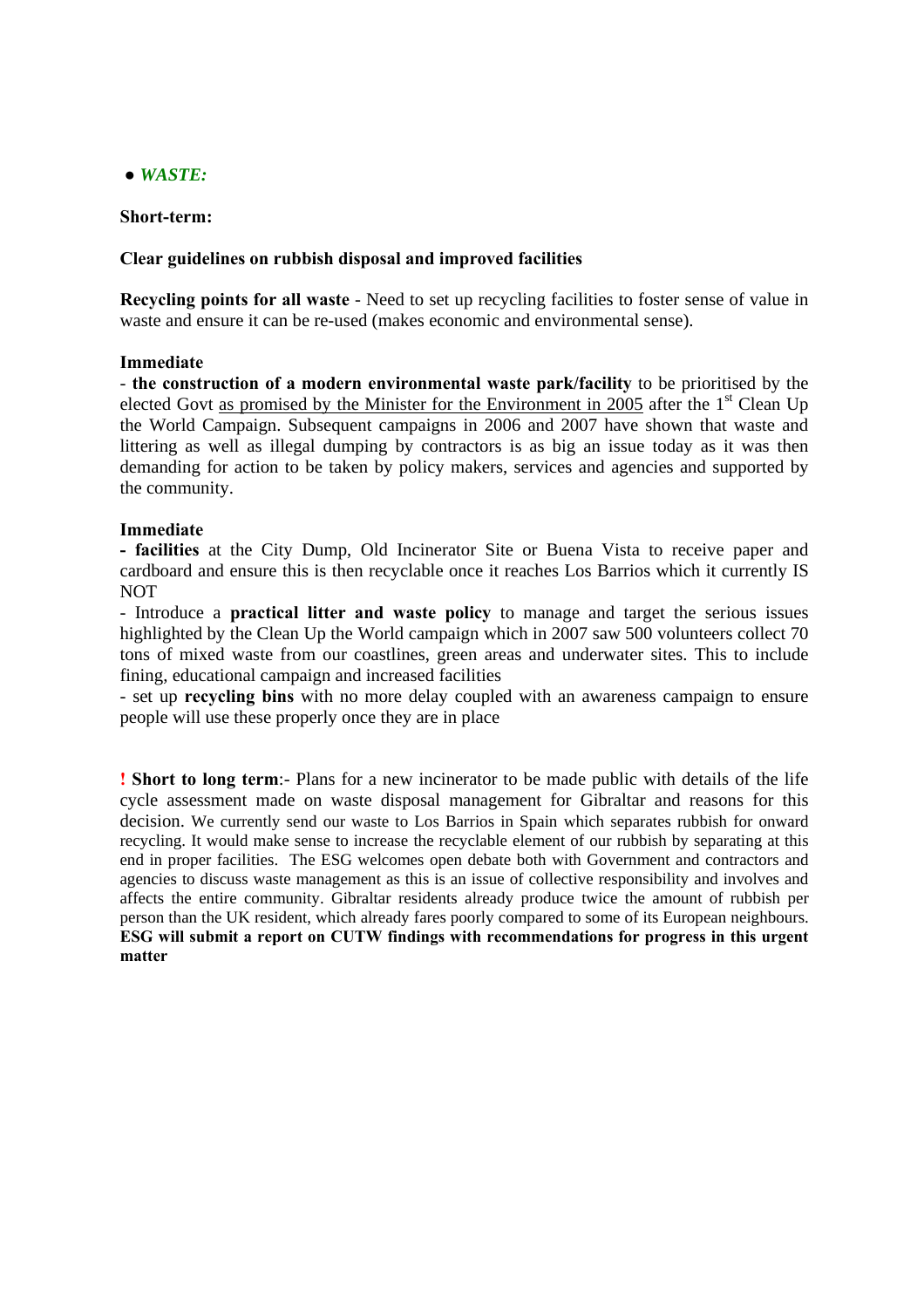# **●** *WASTE:*

### **Short-term:**

### **Clear guidelines on rubbish disposal and improved facilities**

**Recycling points for all waste** - Need to set up recycling facilities to foster sense of value in waste and ensure it can be re-used (makes economic and environmental sense).

### **Immediate**

- **the construction of a modern environmental waste park/facility** to be prioritised by the elected Govt as promised by the Minister for the Environment in 2005 after the  $1<sup>st</sup>$  Clean Up the World Campaign. Subsequent campaigns in 2006 and 2007 have shown that waste and littering as well as illegal dumping by contractors is as big an issue today as it was then demanding for action to be taken by policy makers, services and agencies and supported by the community.

# **Immediate**

**- facilities** at the City Dump, Old Incinerator Site or Buena Vista to receive paper and cardboard and ensure this is then recyclable once it reaches Los Barrios which it currently IS NOT

- Introduce a **practical litter and waste policy** to manage and target the serious issues highlighted by the Clean Up the World campaign which in 2007 saw 500 volunteers collect 70 tons of mixed waste from our coastlines, green areas and underwater sites. This to include fining, educational campaign and increased facilities

- set up **recycling bins** with no more delay coupled with an awareness campaign to ensure people will use these properly once they are in place

**! Short to long term**:- Plans for a new incinerator to be made public with details of the life cycle assessment made on waste disposal management for Gibraltar and reasons for this decision. We currently send our waste to Los Barrios in Spain which separates rubbish for onward recycling. It would make sense to increase the recyclable element of our rubbish by separating at this end in proper facilities. The ESG welcomes open debate both with Government and contractors and agencies to discuss waste management as this is an issue of collective responsibility and involves and affects the entire community. Gibraltar residents already produce twice the amount of rubbish per person than the UK resident, which already fares poorly compared to some of its European neighbours. **ESG will submit a report on CUTW findings with recommendations for progress in this urgent matter**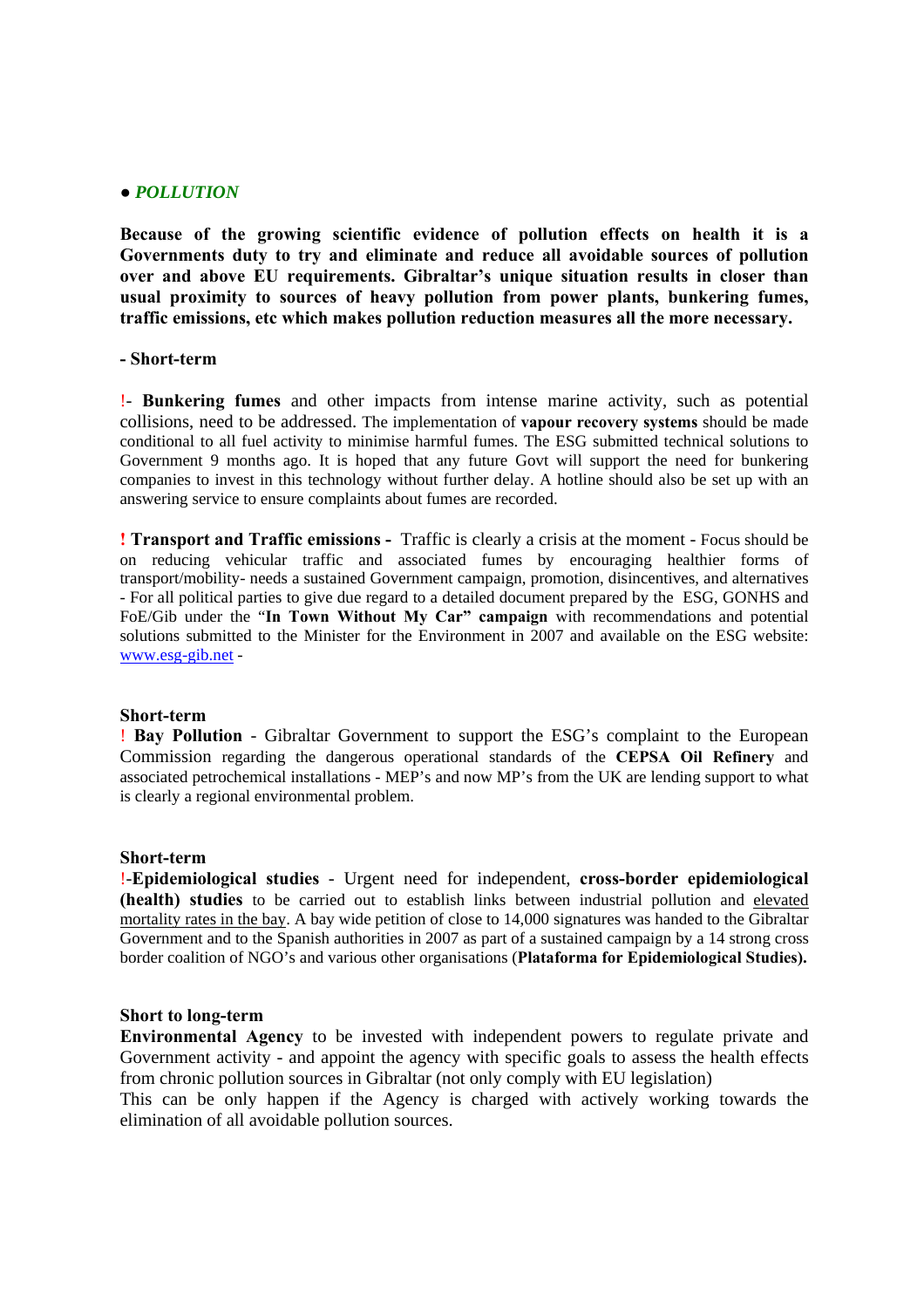### **●** *POLLUTION*

**Because of the growing scientific evidence of pollution effects on health it is a Governments duty to try and eliminate and reduce all avoidable sources of pollution over and above EU requirements. Gibraltar's unique situation results in closer than usual proximity to sources of heavy pollution from power plants, bunkering fumes, traffic emissions, etc which makes pollution reduction measures all the more necessary.** 

# **- Short-term**

!- **Bunkering fumes** and other impacts from intense marine activity, such as potential collisions, need to be addressed. The implementation of **vapour recovery systems** should be made conditional to all fuel activity to minimise harmful fumes. The ESG submitted technical solutions to Government 9 months ago. It is hoped that any future Govt will support the need for bunkering companies to invest in this technology without further delay. A hotline should also be set up with an answering service to ensure complaints about fumes are recorded.

**! Transport and Traffic emissions -** Traffic is clearly a crisis at the moment - Focus should be on reducing vehicular traffic and associated fumes by encouraging healthier forms of transport/mobility- needs a sustained Government campaign, promotion, disincentives, and alternatives - For all political parties to give due regard to a detailed document prepared by the ESG, GONHS and FoE/Gib under the "**In Town Without My Car" campaign** with recommendations and potential solutions submitted to the Minister for the Environment in 2007 and available on the ESG website: www.esg-gib.net -

#### **Short-term**

! **Bay Pollution** - Gibraltar Government to support the ESG's complaint to the European Commission regarding the dangerous operational standards of the **CEPSA Oil Refinery** and associated petrochemical installations - MEP's and now MP's from the UK are lending support to what is clearly a regional environmental problem.

#### **Short-term**

!-**Epidemiological studies** - Urgent need for independent, **cross-border epidemiological (health) studies** to be carried out to establish links between industrial pollution and elevated mortality rates in the bay. A bay wide petition of close to 14,000 signatures was handed to the Gibraltar Government and to the Spanish authorities in 2007 as part of a sustained campaign by a 14 strong cross border coalition of NGO's and various other organisations (**Plataforma for Epidemiological Studies).** 

### **Short to long-term**

**Environmental Agency** to be invested with independent powers to regulate private and Government activity - and appoint the agency with specific goals to assess the health effects from chronic pollution sources in Gibraltar (not only comply with EU legislation)

This can be only happen if the Agency is charged with actively working towards the elimination of all avoidable pollution sources.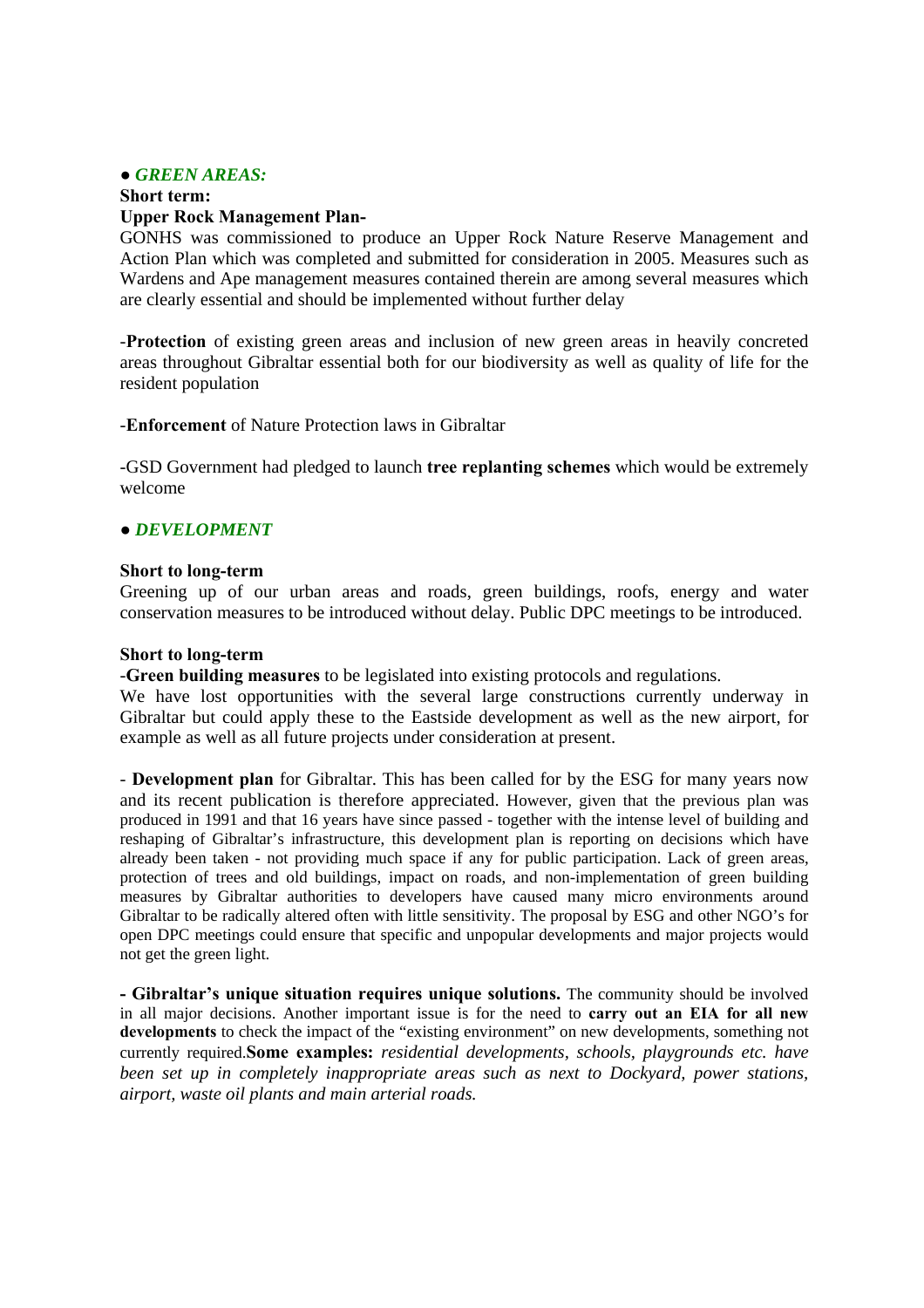### **●** *GREEN AREAS:*

# **Short term: Upper Rock Management Plan-**

GONHS was commissioned to produce an Upper Rock Nature Reserve Management and Action Plan which was completed and submitted for consideration in 2005. Measures such as Wardens and Ape management measures contained therein are among several measures which are clearly essential and should be implemented without further delay

-**Protection** of existing green areas and inclusion of new green areas in heavily concreted areas throughout Gibraltar essential both for our biodiversity as well as quality of life for the resident population

-**Enforcement** of Nature Protection laws in Gibraltar

-GSD Government had pledged to launch **tree replanting schemes** which would be extremely welcome

# **●** *DEVELOPMENT*

### **Short to long-term**

Greening up of our urban areas and roads, green buildings, roofs, energy and water conservation measures to be introduced without delay. Public DPC meetings to be introduced.

### **Short to long-term**

-**Green building measures** to be legislated into existing protocols and regulations.

We have lost opportunities with the several large constructions currently underway in Gibraltar but could apply these to the Eastside development as well as the new airport, for example as well as all future projects under consideration at present.

- **Development plan** for Gibraltar. This has been called for by the ESG for many years now and its recent publication is therefore appreciated. However, given that the previous plan was produced in 1991 and that 16 years have since passed - together with the intense level of building and reshaping of Gibraltar's infrastructure, this development plan is reporting on decisions which have already been taken - not providing much space if any for public participation. Lack of green areas, protection of trees and old buildings, impact on roads, and non-implementation of green building measures by Gibraltar authorities to developers have caused many micro environments around Gibraltar to be radically altered often with little sensitivity. The proposal by ESG and other NGO's for open DPC meetings could ensure that specific and unpopular developments and major projects would not get the green light.

**- Gibraltar's unique situation requires unique solutions.** The community should be involved in all major decisions. Another important issue is for the need to **carry out an EIA for all new developments** to check the impact of the "existing environment" on new developments, something not currently required.**Some examples:** *residential developments, schools, playgrounds etc. have been set up in completely inappropriate areas such as next to Dockyard, power stations, airport, waste oil plants and main arterial roads.*